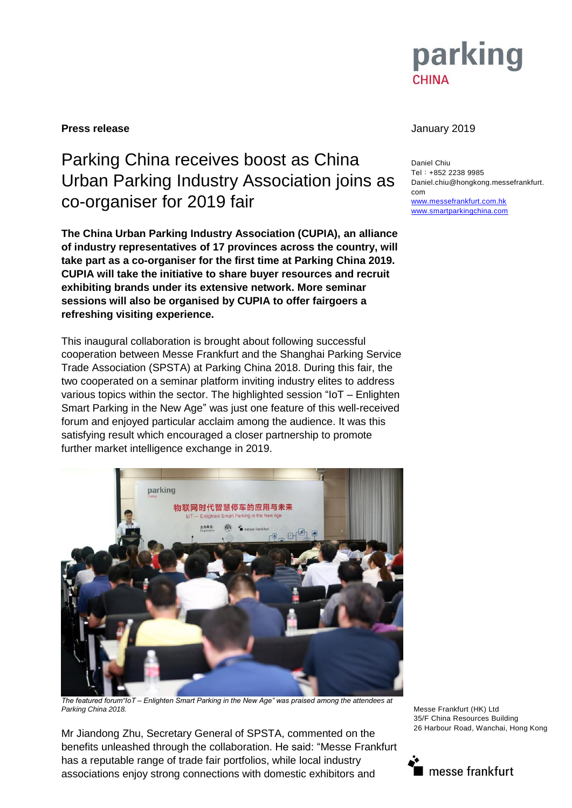

## **Press release** January 2019

## Parking China receives boost as China Urban Parking Industry Association joins as co-organiser for 2019 fair

**The China Urban Parking Industry Association (CUPIA), an alliance of industry representatives of 17 provinces across the country, will take part as a co-organiser for the first time at Parking China 2019. CUPIA will take the initiative to share buyer resources and recruit exhibiting brands under its extensive network. More seminar sessions will also be organised by CUPIA to offer fairgoers a refreshing visiting experience.**

This inaugural collaboration is brought about following successful cooperation between Messe Frankfurt and the Shanghai Parking Service Trade Association (SPSTA) at Parking China 2018. During this fair, the two cooperated on a seminar platform inviting industry elites to address various topics within the sector. The highlighted session "IoT – Enlighten Smart Parking in the New Age" was just one feature of this well-received forum and enjoyed particular acclaim among the audience. It was this satisfying result which encouraged a closer partnership to promote further market intelligence exchange in 2019.



*The featured forum"IoT – Enlighten Smart Parking in the New Age" was praised among the attendees at Parking China 2018.*

Mr Jiandong Zhu, Secretary General of SPSTA, commented on the benefits unleashed through the collaboration. He said: "Messe Frankfurt has a reputable range of trade fair portfolios, while local industry associations enjoy strong connections with domestic exhibitors and

Daniel Chiu Tel:+852 2238 9985 Daniel.chiu@hongkong.messefrankfurt. com [www.messefrankfurt.com.hk](http://www.messefrankfurt.com.hk/) [www.smartparkingchina.com](http://www.smartparkingchina.com/)

Messe Frankfurt (HK) Ltd 35/F China Resources Building 26 Harbour Road, Wanchai, Hong Kong

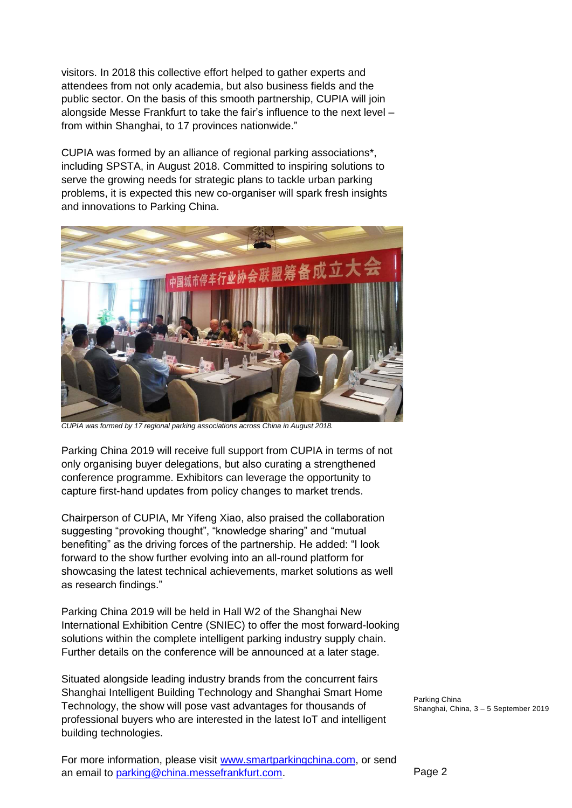visitors. In 2018 this collective effort helped to gather experts and attendees from not only academia, but also business fields and the public sector. On the basis of this smooth partnership, CUPIA will join alongside Messe Frankfurt to take the fair's influence to the next level – from within Shanghai, to 17 provinces nationwide."

CUPIA was formed by an alliance of regional parking associations\*, including SPSTA, in August 2018. Committed to inspiring solutions to serve the growing needs for strategic plans to tackle urban parking problems, it is expected this new co-organiser will spark fresh insights and innovations to Parking China.



*CUPIA was formed by 17 regional parking associations across China in August 2018.*

Parking China 2019 will receive full support from CUPIA in terms of not only organising buyer delegations, but also curating a strengthened conference programme. Exhibitors can leverage the opportunity to capture first-hand updates from policy changes to market trends.

Chairperson of CUPIA, Mr Yifeng Xiao, also praised the collaboration suggesting "provoking thought", "knowledge sharing" and "mutual benefiting" as the driving forces of the partnership. He added: "I look forward to the show further evolving into an all-round platform for showcasing the latest technical achievements, market solutions as well as research findings."

Parking China 2019 will be held in Hall W2 of the Shanghai New International Exhibition Centre (SNIEC) to offer the most forward-looking solutions within the complete intelligent parking industry supply chain. Further details on the conference will be announced at a later stage.

Situated alongside leading industry brands from the concurrent fairs Shanghai Intelligent Building Technology and Shanghai Smart Home Technology, the show will pose vast advantages for thousands of professional buyers who are interested in the latest IoT and intelligent building technologies.

For more information, please visit [www.smartparkingchina.com,](http://www.smartparkingchina.com/) or send an email to [parking@china.messefrankfurt.com.](mailto:parking@china.messefrankfurt.com)

Parking China Shanghai, China, 3 – 5 September 2019